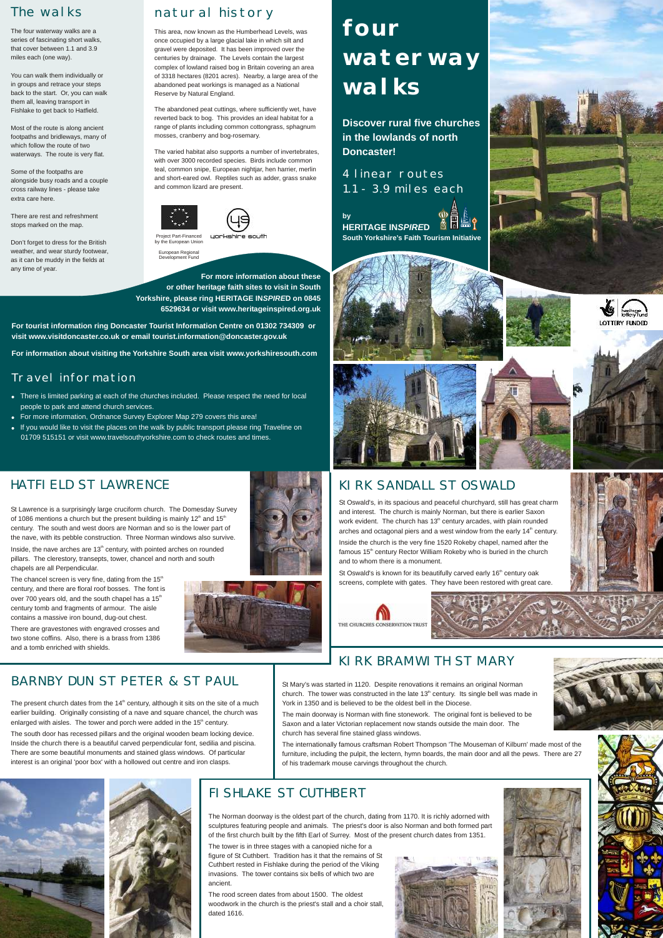St Lawrence is a surprisingly large cruciform church. The Domesday Survey of 1086 mentions a church but the present building is mainly 12<sup>th</sup> and 15<sup>th</sup> century. The south and west doors are Norman and so is the lower part of the nave, with its pebble construction. Three Norman windows also survive.

Inside, the nave arches are 13<sup>th</sup> century, with pointed arches on rounded pillars. The clerestory, transepts, tower, chancel and north and south chapels are all Perpendicular.

The chancel screen is very fine, dating from the  $15<sup>th</sup>$ century, and there are floral roof bosses. The font is over 700 years old, and the south chapel has a 15<sup>th</sup> century tomb and fragments of armour. The aisle contains a massive iron bound, dug-out chest.

There are gravestones with engraved crosses and two stone coffins. Also, there is a brass from 1386 and a tomb enriched with shields.

## BARNBY DUN ST PETER & ST PAUL St Mary's was started in 1120. Despite renovations it remains an original Norman

The present church dates from the  $14<sup>th</sup>$  century, although it sits on the site of a much

church. The tower was constructed in the late  $13<sup>th</sup>$  century. Its single bell was made in York in 1350 and is believed to be the oldest bell in the Diocese.





## HATFIELD ST LAWRENCE

earlier building. Originally consisting of a nave and square chancel, the church was enlarged with aisles. The tower and porch were added in the  $15<sup>th</sup>$  century. The south door has recessed pillars and the original wooden beam locking device. Inside the church there is a beautiful carved perpendicular font, sedilia and piscina. There are some beautiful monuments and stained glass windows. Of particular interest is an original 'poor box' with a hollowed out centre and iron clasps.

St Oswald's is known for its beautifully carved early 16<sup>th</sup> century oak screens, complete with gates. They have been restored with great care.









The main doorway is Norman with fine stonework. The original font is believed to be Saxon and a later Victorian replacement now stands outside the main door. The church has several fine stained glass windows.

The internationally famous craftsman Robert Thompson 'The Mouseman of Kilburn' made most of the furniture, including the pulpit, the lectern, hymn boards, the main door and all the pews. There are 27 of his trademark mouse carvings throughout the church.





The Norman doorway is the oldest part of the church, dating from 1170. It is richly adorned with sculptures featuring people and animals. The priest's door is also Norman and both formed part of the first church built by the fifth Earl of Surrey. Most of the present church dates from 1351.

The tower is in three stages with a canopied niche for a figure of St Cuthbert. Tradition has it that the remains of St Cuthbert rested in Fishlake during the period of the Viking invasions. The tower contains six bells of which two are ancient.

The rood screen dates from about 1500. The oldest woodwork in the church is the priest's stall and a choir stall, dated 1616.





### FISHLAKE ST CUTHBERT

St Oswald's, in its spacious and peaceful churchyard, still has great charm and interest. The church is mainly Norman, but there is earlier Saxon work evident. The church has  $13<sup>th</sup>$  century arcades, with plain rounded arches and octagonal piers and a west window from the early  $14<sup>th</sup>$  century. Inside the church is the very fine 1520 Rokeby chapel, named after the famous 15<sup>th</sup> century Rector William Rokeby who is buried in the church and to whom there is a monument.

## KIRK SANDALL ST OSWALD

## natural history

This area, now known as the Humberhead Levels, was once occupied by a large glacial lake in which silt and gravel were deposited. It has been improved over the centuries by drainage. The Levels contain the largest complex of lowland raised bog in Britain covering an area of 3318 hectares (8201 acres). Nearby, a large area of the abandoned peat workings is managed as a National Reserve by Natural England.

The abandoned peat cuttings, where sufficiently wet, have reverted back to bog. This provides an ideal habitat for a range of plants including common cottongrass, sphagnum mosses, cranberry and bog-rosemary.

The varied habitat also supports a number of invertebrates, with over 3000 recorded species. Birds include common teal, common snipe, European nightjar, hen harrier, merlin and short-eared owl. Reptiles such as adder, grass snake and common lizard are present.



### Travel information

- . There is limited parking at each of the churches included. Please respect the need for local people to park and attend church services.
- 
- If you would like to visit the places on the walk by public transport please ring Traveline on



- ! For more information, Ordnance Survey Explorer Map 279 covers this area!
- 01709 515151 or visit www.travelsouthyorkshire.com to check routes and times.

**For more information about these or other heritage faith sites to visit in South Yorkshire, please ring HERITAGE IN***SPIRE***D on 0845** 

**6529634 or visit www.heritageinspired.org.uk**

**For tourist information ring Doncaster Tourist Information Centre on 01302 734309 or visit www.visitdoncaster.co.uk or email tourist.information@doncaster.gov.uk**

**For information about visiting the Yorkshire South area visit www.yorkshiresouth.com**

Project Part-Financed by the European Union

European Regional Development Fund

# **four waterway walks**

**Discover rural five churches in the lowlands of north Doncaster!**

4 linear routes 1.1 - 3.9 miles each

**by HERITAGE IN***SPIRE***D South Yorkshire's Faith Tourism Initiative**



## The walks

The four waterway walks are a series of fascinating short walks, that cover between 1.1 and 3.9 miles each (one way).

You can walk them individually or in groups and retrace your steps back to the start. Or, you can walk them all, leaving transport in Fishlake to get back to Hatfield.

Most of the route is along ancient footpaths and bridleways, many of which follow the route of two waterways. The route is very flat.

Some of the footpaths are alongside busy roads and a couple cross railway lines - please take extra care here.

There are rest and refreshment stops marked on the map.

Don't forget to dress for the British weather, and wear sturdy footwear, as it can be muddy in the fields at any time of year.